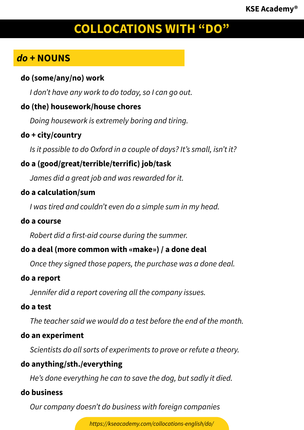# *do* **+ NOUNS**

#### **do (some/any/no) work**

*I don't have any work to do today, so I can go out.*

# **do (the) housework/house chores**

*Doing housework is extremely boring and tiring.*

#### **do + city/country**

*Is it possible to do Oxford in a couple of days? It's small, isn't it?*

# **do a (good/great/terrible/terrific) job/task**

*James did a great job and was rewarded for it.*

#### **do a calculation/sum**

*I was tired and couldn't even do a simple sum in my head.*

#### **do a course**

*Robert did a first-aid course during the summer.*

# **do a deal (more common with «make») / a done deal**

*Once they signed those papers, the purchase was a done deal.*

#### **do a report**

*Jennifer did a report covering all the company issues.*

#### **do a test**

*The teacher said we would do a test before the end of the month.*

#### **do an experiment**

*Scientists do all sorts of experiments to prove or refute a theory.*

#### **do anything/sth./everything**

*He's done everything he can to save the dog, but sadly it died.*

# **do business**

*Our company doesn't do business with foreign companies*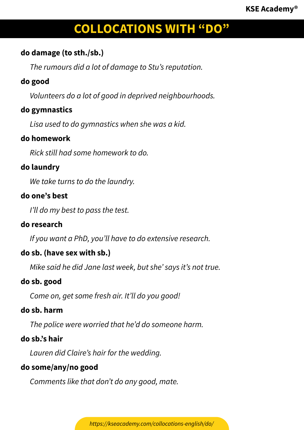### **do damage (to sth./sb.)**

*The rumours did a lot of damage to Stu's reputation.*

# **do good**

*Volunteers do a lot of good in deprived neighbourhoods.*

# **do gymnastics**

*Lisa used to do gymnastics when she was a kid.*

#### **do homework**

*Rick still had some homework to do.*

# **do laundry**

*We take turns to do the laundry.*

# **do one's best**

*I'll do my best to pass the test.*

# **do research**

*If you want a PhD, you'll have to do extensive research.*

# **do sb. (have sex with sb.)**

*Mike said he did Jane last week, but she' says it's not true.*

#### **do sb. good**

*Come on, get some fresh air. It'll do you good!*

#### **do sb. harm**

*The police were worried that he'd do someone harm.*

# **do sb.'s hair**

*Lauren did Claire's hair for the wedding.*

# **do some/any/no good**

*Comments like that don't do any good, mate.*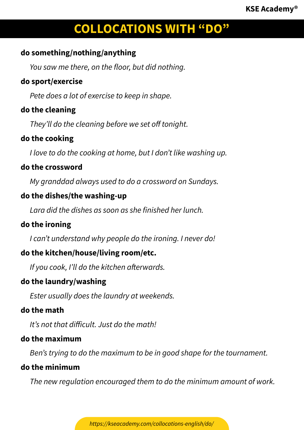### **do something/nothing/anything**

*You saw me there, on the floor, but did nothing.*

#### **do sport/exercise**

*Pete does a lot of exercise to keep in shape.*

#### **do the cleaning**

*They'll do the cleaning before we set off tonight.*

#### **do the cooking**

*I love to do the cooking at home, but I don't like washing up.*

#### **do the crossword**

*My granddad always used to do a crossword on Sundays.*

# **do the dishes/the washing-up**

*Lara did the dishes as soon as she finished her lunch.*

# **do the ironing**

*I can't understand why people do the ironing. I never do!*

# **do the kitchen/house/living room/etc.**

*If you cook, I'll do the kitchen afterwards.*

#### **do the laundry/washing**

*Ester usually does the laundry at weekends.*

#### **do the math**

*It's not that difficult. Just do the math!*

#### **do the maximum**

*Ben's trying to do the maximum to be in good shape for the tournament.*

# **do the minimum**

*The new regulation encouraged them to do the minimum amount of work.*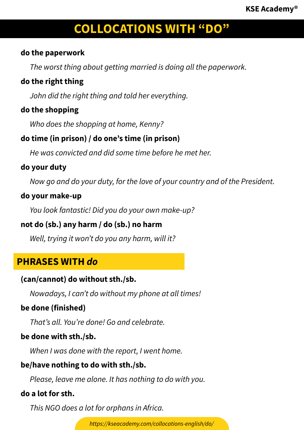### **do the paperwork**

*The worst thing about getting married is doing all the paperwork.*

# **do the right thing**

*John did the right thing and told her everything.*

# **do the shopping**

*Who does the shopping at home, Kenny?*

# **do time (in prison) / do one's time (in prison)**

*He was convicted and did some time before he met her.*

# **do your duty**

*Now go and do your duty, for the love of your country and of the President.*

# **do your make-up**

*You look fantastic! Did you do your own make-up?*

# **not do (sb.) any harm / do (sb.) no harm**

*Well, trying it won't do you any harm, will it?*

# **PHRASES WITH** *do*

# **(can/cannot) do without sth./sb.**

*Nowadays, I can't do without my phone at all times!*

# **be done (finished)**

*That's all. You're done! Go and celebrate.*

# **be done with sth./sb.**

*When I was done with the report, I went home.*

# **be/have nothing to do with sth./sb.**

*Please, leave me alone. It has nothing to do with you.*

# **do a lot for sth.**

*This NGO does a lot for orphans in Africa.*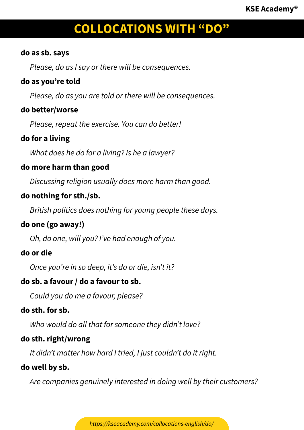#### **do as sb. says**

*Please, do as I say or there will be consequences.*

# **do as you're told**

*Please, do as you are told or there will be consequences.*

#### **do better/worse**

*Please, repeat the exercise. You can do better!*

# **do for a living**

*What does he do for a living? Is he a lawyer?*

#### **do more harm than good**

*Discussing religion usually does more harm than good.*

#### **do nothing for sth./sb.**

*British politics does nothing for young people these days.*

# **do one (go away!)**

*Oh, do one, will you? I've had enough of you.*

#### **do or die**

*Once you're in so deep, it's do or die, isn't it?*

#### **do sb. a favour / do a favour to sb.**

*Could you do me a favour, please?*

#### **do sth. for sb.**

*Who would do all that for someone they didn't love?*

#### **do sth. right/wrong**

*It didn't matter how hard I tried, I just couldn't do it right.*

#### **do well by sb.**

*Are companies genuinely interested in doing well by their customers?*